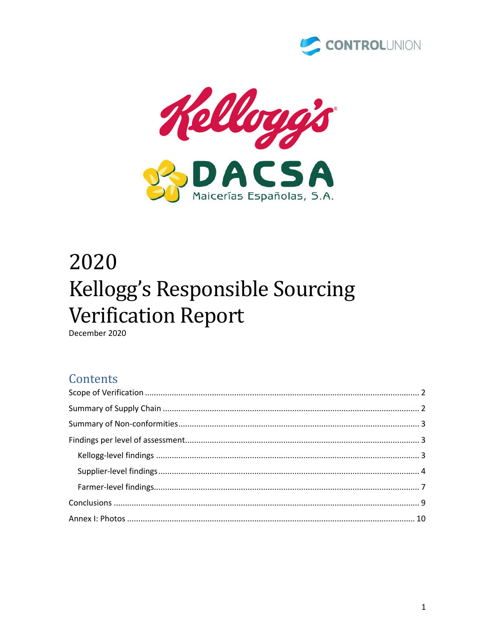



# 2020 Kellogg's Responsible Sourcing **Verification Report**

December 2020

### Contents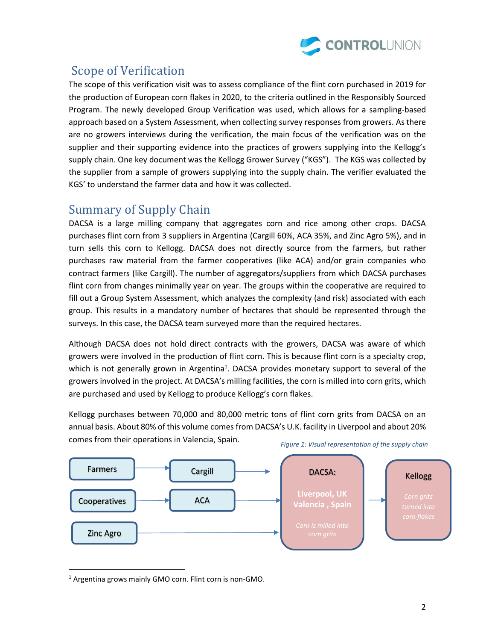

# <span id="page-1-0"></span>Scope of Verification

The scope of this verification visit was to assess compliance of the flint corn purchased in 2019 for the production of European corn flakes in 2020, to the criteria outlined in the Responsibly Sourced Program. The newly developed Group Verification was used, which allows for a sampling-based approach based on a System Assessment, when collecting survey responses from growers. As there are no growers interviews during the verification, the main focus of the verification was on the supplier and their supporting evidence into the practices of growers supplying into the Kellogg's supply chain. One key document was the Kellogg Grower Survey ("KGS"). The KGS was collected by the supplier from a sample of growers supplying into the supply chain. The verifier evaluated the KGS' to understand the farmer data and how it was collected.

## <span id="page-1-1"></span>Summary of Supply Chain

DACSA is a large milling company that aggregates corn and rice among other crops. DACSA purchases flint corn from 3 suppliers in Argentina (Cargill 60%, ACA 35%, and Zinc Agro 5%), and in turn sells this corn to Kellogg. DACSA does not directly source from the farmers, but rather purchases raw material from the farmer cooperatives (like ACA) and/or grain companies who contract farmers (like Cargill). The number of aggregators/suppliers from which DACSA purchases flint corn from changes minimally year on year. The groups within the cooperative are required to fill out a Group System Assessment, which analyzes the complexity (and risk) associated with each group. This results in a mandatory number of hectares that should be represented through the surveys. In this case, the DACSA team surveyed more than the required hectares.

Although DACSA does not hold direct contracts with the growers, DACSA was aware of which growers were involved in the production of flint corn. This is because flint corn is a specialty crop, which is not generally grown in Argentina<sup>1</sup>. DACSA provides monetary support to several of the growers involved in the project. At DACSA's milling facilities, the corn is milled into corn grits, which are purchased and used by Kellogg to produce Kellogg's corn flakes.

Kellogg purchases between 70,000 and 80,000 metric tons of flint corn grits from DACSA on an annual basis. About 80% of this volume comes from DACSA's U.K. facility in Liverpool and about 20% comes from their operations in Valencia, Spain.



*Figure 1: Visual representation of the supply chain*

<sup>1</sup> Argentina grows mainly GMO corn. Flint corn is non-GMO.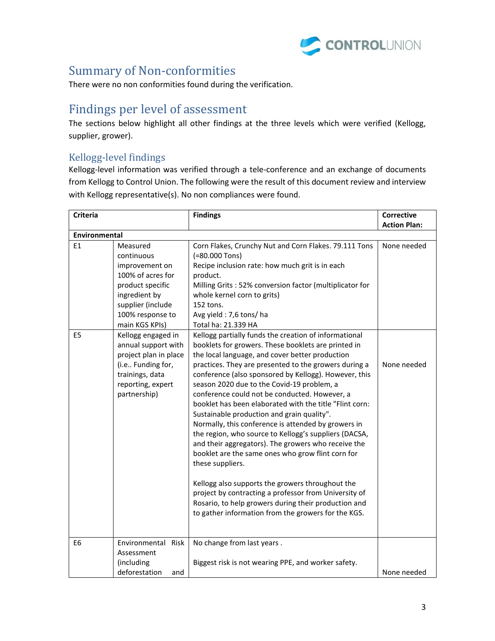

## <span id="page-2-0"></span>Summary of Non-conformities

There were no non conformities found during the verification.

## <span id="page-2-1"></span>Findings per level of assessment

The sections below highlight all other findings at the three levels which were verified (Kellogg, supplier, grower).

#### <span id="page-2-2"></span>Kellogg-level findings

Kellogg-level information was verified through a tele-conference and an exchange of documents from Kellogg to Control Union. The following were the result of this document review and interview with Kellogg representative(s). No non compliances were found.

| <b>Criteria</b>      |                                                                                                                                                                                                                                                                                                                                                                                                                                                                                                                                                                                                                                                                                                                                                                                                                                                                                                                                                                                                                                                                                                                                                                                                                                                                                                                                                                 | <b>Findings</b>                                                                                                                                                                                                          | <b>Corrective</b>          |
|----------------------|-----------------------------------------------------------------------------------------------------------------------------------------------------------------------------------------------------------------------------------------------------------------------------------------------------------------------------------------------------------------------------------------------------------------------------------------------------------------------------------------------------------------------------------------------------------------------------------------------------------------------------------------------------------------------------------------------------------------------------------------------------------------------------------------------------------------------------------------------------------------------------------------------------------------------------------------------------------------------------------------------------------------------------------------------------------------------------------------------------------------------------------------------------------------------------------------------------------------------------------------------------------------------------------------------------------------------------------------------------------------|--------------------------------------------------------------------------------------------------------------------------------------------------------------------------------------------------------------------------|----------------------------|
|                      | Measured<br>Corn Flakes, Crunchy Nut and Corn Flakes. 79.111 Tons<br>(=80.000 Tons)<br>continuous<br>Recipe inclusion rate: how much grit is in each<br>improvement on<br>100% of acres for<br>product.<br>product specific<br>Milling Grits: 52% conversion factor (multiplicator for<br>ingredient by<br>whole kernel corn to grits)<br>supplier (include<br>152 tons.<br>100% response to<br>Avg yield: 7,6 tons/ha<br>main KGS KPIs)<br>Total ha: 21.339 HA<br>Kellogg engaged in<br>Kellogg partially funds the creation of informational<br>annual support with<br>booklets for growers. These booklets are printed in<br>project plan in place<br>the local language, and cover better production<br>(i.e Funding for,<br>practices. They are presented to the growers during a<br>trainings, data<br>conference (also sponsored by Kellogg). However, this<br>reporting, expert<br>season 2020 due to the Covid-19 problem, a<br>partnership)<br>conference could not be conducted. However, a<br>booklet has been elaborated with the title "Flint corn:<br>Sustainable production and grain quality".<br>Normally, this conference is attended by growers in<br>the region, who source to Kellogg's suppliers (DACSA,<br>and their aggregators). The growers who receive the<br>booklet are the same ones who grow flint corn for<br>these suppliers. |                                                                                                                                                                                                                          | <b>Action Plan:</b>        |
| <b>Environmental</b> |                                                                                                                                                                                                                                                                                                                                                                                                                                                                                                                                                                                                                                                                                                                                                                                                                                                                                                                                                                                                                                                                                                                                                                                                                                                                                                                                                                 |                                                                                                                                                                                                                          |                            |
| E1<br>E <sub>5</sub> |                                                                                                                                                                                                                                                                                                                                                                                                                                                                                                                                                                                                                                                                                                                                                                                                                                                                                                                                                                                                                                                                                                                                                                                                                                                                                                                                                                 |                                                                                                                                                                                                                          | None needed<br>None needed |
|                      |                                                                                                                                                                                                                                                                                                                                                                                                                                                                                                                                                                                                                                                                                                                                                                                                                                                                                                                                                                                                                                                                                                                                                                                                                                                                                                                                                                 | Kellogg also supports the growers throughout the<br>project by contracting a professor from University of<br>Rosario, to help growers during their production and<br>to gather information from the growers for the KGS. |                            |
|                      |                                                                                                                                                                                                                                                                                                                                                                                                                                                                                                                                                                                                                                                                                                                                                                                                                                                                                                                                                                                                                                                                                                                                                                                                                                                                                                                                                                 |                                                                                                                                                                                                                          |                            |
| E <sub>6</sub>       | Environmental Risk<br>Assessment<br>(including                                                                                                                                                                                                                                                                                                                                                                                                                                                                                                                                                                                                                                                                                                                                                                                                                                                                                                                                                                                                                                                                                                                                                                                                                                                                                                                  | No change from last years.<br>Biggest risk is not wearing PPE, and worker safety.                                                                                                                                        |                            |
|                      | deforestation<br>and                                                                                                                                                                                                                                                                                                                                                                                                                                                                                                                                                                                                                                                                                                                                                                                                                                                                                                                                                                                                                                                                                                                                                                                                                                                                                                                                            |                                                                                                                                                                                                                          | None needed                |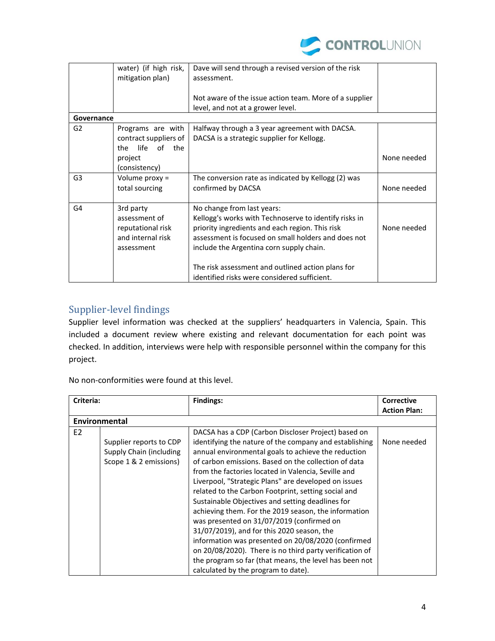

|                | water) (if high risk,<br>mitigation plan)                                          | Dave will send through a revised version of the risk<br>assessment.                                                                                                                                                                       |             |
|----------------|------------------------------------------------------------------------------------|-------------------------------------------------------------------------------------------------------------------------------------------------------------------------------------------------------------------------------------------|-------------|
|                |                                                                                    | Not aware of the issue action team. More of a supplier<br>level, and not at a grower level.                                                                                                                                               |             |
| Governance     |                                                                                    |                                                                                                                                                                                                                                           |             |
| G <sub>2</sub> | Programs are with<br>contract suppliers of<br>life of the<br>the                   | Halfway through a 3 year agreement with DACSA.<br>DACSA is a strategic supplier for Kellogg.                                                                                                                                              |             |
|                | project<br>(consistency)                                                           |                                                                                                                                                                                                                                           | None needed |
| G <sub>3</sub> | Volume proxy =<br>total sourcing                                                   | The conversion rate as indicated by Kellogg (2) was<br>confirmed by DACSA                                                                                                                                                                 | None needed |
| G4             | 3rd party<br>assessment of<br>reputational risk<br>and internal risk<br>assessment | No change from last years:<br>Kellogg's works with Technoserve to identify risks in<br>priority ingredients and each region. This risk<br>assessment is focused on small holders and does not<br>include the Argentina corn supply chain. | None needed |
|                |                                                                                    | The risk assessment and outlined action plans for<br>identified risks were considered sufficient.                                                                                                                                         |             |

#### <span id="page-3-0"></span>Supplier-level findings

Supplier level information was checked at the suppliers' headquarters in Valencia, Spain. This included a document review where existing and relevant documentation for each point was checked. In addition, interviews were help with responsible personnel within the company for this project.

No non-conformities were found at this level.

| Criteria:      |                                                                              | <b>Findings:</b>                                                                                                                                                                                                                                                                                                                                                                                                                                                                                                                                                                                                                                                                                                                                                                                                            | <b>Corrective</b>   |
|----------------|------------------------------------------------------------------------------|-----------------------------------------------------------------------------------------------------------------------------------------------------------------------------------------------------------------------------------------------------------------------------------------------------------------------------------------------------------------------------------------------------------------------------------------------------------------------------------------------------------------------------------------------------------------------------------------------------------------------------------------------------------------------------------------------------------------------------------------------------------------------------------------------------------------------------|---------------------|
|                |                                                                              |                                                                                                                                                                                                                                                                                                                                                                                                                                                                                                                                                                                                                                                                                                                                                                                                                             | <b>Action Plan:</b> |
|                | Environmental                                                                |                                                                                                                                                                                                                                                                                                                                                                                                                                                                                                                                                                                                                                                                                                                                                                                                                             |                     |
| E <sub>2</sub> | Supplier reports to CDP<br>Supply Chain (including<br>Scope 1 & 2 emissions) | DACSA has a CDP (Carbon Discloser Project) based on<br>identifying the nature of the company and establishing<br>annual environmental goals to achieve the reduction<br>of carbon emissions. Based on the collection of data<br>from the factories located in Valencia, Seville and<br>Liverpool, "Strategic Plans" are developed on issues<br>related to the Carbon Footprint, setting social and<br>Sustainable Objectives and setting deadlines for<br>achieving them. For the 2019 season, the information<br>was presented on 31/07/2019 (confirmed on<br>31/07/2019), and for this 2020 season, the<br>information was presented on 20/08/2020 (confirmed<br>on 20/08/2020). There is no third party verification of<br>the program so far (that means, the level has been not<br>calculated by the program to date). | None needed         |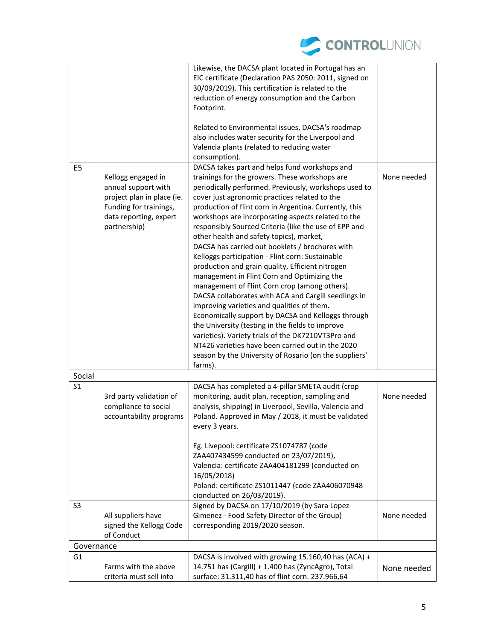

|                |                                                                                                                                             | Likewise, the DACSA plant located in Portugal has an<br>EIC certificate (Declaration PAS 2050: 2011, signed on<br>30/09/2019). This certification is related to the<br>reduction of energy consumption and the Carbon<br>Footprint.                                                                                                                                                                                                                                                                                                                                                                                                                                                                                                                                                                                                                                                                                                                                                                                                                                                       |             |
|----------------|---------------------------------------------------------------------------------------------------------------------------------------------|-------------------------------------------------------------------------------------------------------------------------------------------------------------------------------------------------------------------------------------------------------------------------------------------------------------------------------------------------------------------------------------------------------------------------------------------------------------------------------------------------------------------------------------------------------------------------------------------------------------------------------------------------------------------------------------------------------------------------------------------------------------------------------------------------------------------------------------------------------------------------------------------------------------------------------------------------------------------------------------------------------------------------------------------------------------------------------------------|-------------|
|                |                                                                                                                                             | Related to Environmental issues, DACSA's roadmap<br>also includes water security for the Liverpool and<br>Valencia plants (related to reducing water<br>consumption).                                                                                                                                                                                                                                                                                                                                                                                                                                                                                                                                                                                                                                                                                                                                                                                                                                                                                                                     |             |
| E <sub>5</sub> | Kellogg engaged in<br>annual support with<br>project plan in place (ie.<br>Funding for trainings,<br>data reporting, expert<br>partnership) | DACSA takes part and helps fund workshops and<br>trainings for the growers. These workshops are<br>periodically performed. Previously, workshops used to<br>cover just agronomic practices related to the<br>production of flint corn in Argentina. Currently, this<br>workshops are incorporating aspects related to the<br>responsibly Sourced Criteria (like the use of EPP and<br>other health and safety topics), market,<br>DACSA has carried out booklets / brochures with<br>Kelloggs participation - Flint corn: Sustainable<br>production and grain quality, Efficient nitrogen<br>management in Flint Corn and Optimizing the<br>management of Flint Corn crop (among others).<br>DACSA collaborates with ACA and Cargill seedlings in<br>improving varieties and qualities of them.<br>Economically support by DACSA and Kelloggs through<br>the University (testing in the fields to improve<br>varieties). Variety trials of the DK7210VT3Pro and<br>NT426 varieties have been carried out in the 2020<br>season by the University of Rosario (on the suppliers'<br>farms). | None needed |
| Social         |                                                                                                                                             |                                                                                                                                                                                                                                                                                                                                                                                                                                                                                                                                                                                                                                                                                                                                                                                                                                                                                                                                                                                                                                                                                           |             |
| S <sub>1</sub> | 3rd party validation of<br>compliance to social<br>accountability programs                                                                  | DACSA has completed a 4-pillar SMETA audit (crop<br>monitoring, audit plan, reception, sampling and<br>analysis, shipping) in Liverpool, Sevilla, Valencia and<br>Poland. Approved in May / 2018, it must be validated<br>every 3 years.                                                                                                                                                                                                                                                                                                                                                                                                                                                                                                                                                                                                                                                                                                                                                                                                                                                  | None needed |
|                |                                                                                                                                             | Eg. Livepool: certificate ZS1074787 (code<br>ZAA407434599 conducted on 23/07/2019),<br>Valencia: certificate ZAA404181299 (conducted on<br>16/05/2018)<br>Poland: certificate ZS1011447 (code ZAA406070948<br>cionducted on 26/03/2019).                                                                                                                                                                                                                                                                                                                                                                                                                                                                                                                                                                                                                                                                                                                                                                                                                                                  |             |
| S <sub>3</sub> | All suppliers have<br>signed the Kellogg Code<br>of Conduct                                                                                 | Signed by DACSA on 17/10/2019 (by Sara Lopez<br>Gimenez - Food Safety Director of the Group)<br>corresponding 2019/2020 season.                                                                                                                                                                                                                                                                                                                                                                                                                                                                                                                                                                                                                                                                                                                                                                                                                                                                                                                                                           | None needed |
| Governance     |                                                                                                                                             |                                                                                                                                                                                                                                                                                                                                                                                                                                                                                                                                                                                                                                                                                                                                                                                                                                                                                                                                                                                                                                                                                           |             |
| G <sub>1</sub> | Farms with the above<br>criteria must sell into                                                                                             | DACSA is involved with growing 15.160,40 has (ACA) +<br>14.751 has (Cargill) + 1.400 has (ZyncAgro), Total<br>surface: 31.311,40 has of flint corn. 237.966,64                                                                                                                                                                                                                                                                                                                                                                                                                                                                                                                                                                                                                                                                                                                                                                                                                                                                                                                            | None needed |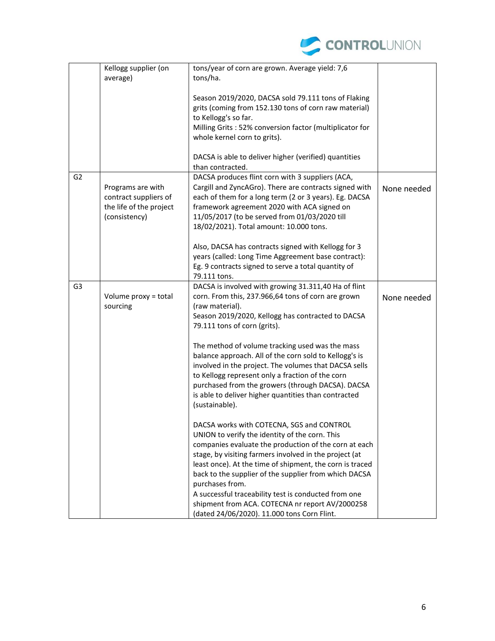

|                | Kellogg supplier (on<br>average)                                                       | tons/year of corn are grown. Average yield: 7,6<br>tons/ha.                                                                                                                                                                                                                                                                                                                                                                                                                                                      |             |
|----------------|----------------------------------------------------------------------------------------|------------------------------------------------------------------------------------------------------------------------------------------------------------------------------------------------------------------------------------------------------------------------------------------------------------------------------------------------------------------------------------------------------------------------------------------------------------------------------------------------------------------|-------------|
|                |                                                                                        | Season 2019/2020, DACSA sold 79.111 tons of Flaking<br>grits (coming from 152.130 tons of corn raw material)<br>to Kellogg's so far.<br>Milling Grits : 52% conversion factor (multiplicator for<br>whole kernel corn to grits).                                                                                                                                                                                                                                                                                 |             |
|                |                                                                                        | DACSA is able to deliver higher (verified) quantities<br>than contracted.                                                                                                                                                                                                                                                                                                                                                                                                                                        |             |
| G <sub>2</sub> | Programs are with<br>contract suppliers of<br>the life of the project<br>(consistency) | DACSA produces flint corn with 3 suppliers (ACA,<br>Cargill and ZyncAGro). There are contracts signed with<br>each of them for a long term (2 or 3 years). Eg. DACSA<br>framework agreement 2020 with ACA signed on<br>11/05/2017 (to be served from 01/03/2020 till<br>18/02/2021). Total amount: 10.000 tons.                                                                                                                                                                                                  | None needed |
|                |                                                                                        | Also, DACSA has contracts signed with Kellogg for 3<br>years (called: Long Time Aggreement base contract):<br>Eg. 9 contracts signed to serve a total quantity of<br>79.111 tons.                                                                                                                                                                                                                                                                                                                                |             |
| G <sub>3</sub> | Volume proxy = total<br>sourcing                                                       | DACSA is involved with growing 31.311,40 Ha of flint<br>corn. From this, 237.966,64 tons of corn are grown<br>(raw material).<br>Season 2019/2020, Kellogg has contracted to DACSA<br>79.111 tons of corn (grits).                                                                                                                                                                                                                                                                                               | None needed |
|                |                                                                                        | The method of volume tracking used was the mass<br>balance approach. All of the corn sold to Kellogg's is<br>involved in the project. The volumes that DACSA sells<br>to Kellogg represent only a fraction of the corn<br>purchased from the growers (through DACSA). DACSA<br>is able to deliver higher quantities than contracted<br>(sustainable).                                                                                                                                                            |             |
|                |                                                                                        | DACSA works with COTECNA, SGS and CONTROL<br>UNION to verify the identity of the corn. This<br>companies evaluate the production of the corn at each<br>stage, by visiting farmers involved in the project (at<br>least once). At the time of shipment, the corn is traced<br>back to the supplier of the supplier from which DACSA<br>purchases from.<br>A successful traceability test is conducted from one<br>shipment from ACA. COTECNA nr report AV/2000258<br>(dated 24/06/2020). 11.000 tons Corn Flint. |             |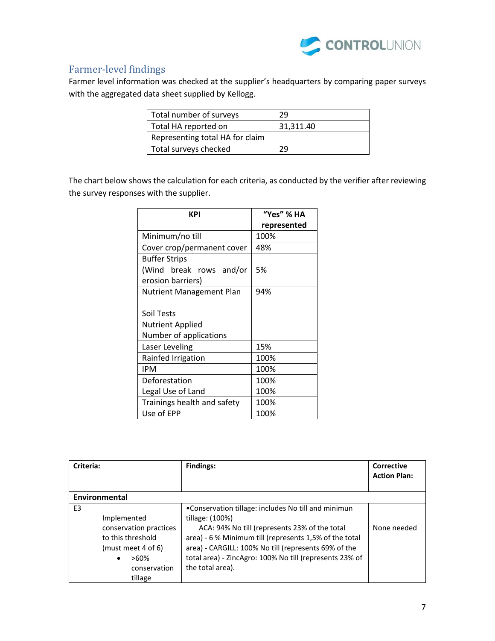

## <span id="page-6-0"></span>Farmer-level findings

Farmer level information was checked at the supplier's headquarters by comparing paper surveys with the aggregated data sheet supplied by Kellogg.

| Total number of surveys         | 29        |
|---------------------------------|-----------|
| Total HA reported on            | 31,311.40 |
| Representing total HA for claim |           |
| Total surveys checked           | 29        |

The chart below shows the calculation for each criteria, as conducted by the verifier after reviewing the survey responses with the supplier.

| KPI                             | "Yes" % HA  |
|---------------------------------|-------------|
|                                 | represented |
| Minimum/no till                 | 100%        |
| Cover crop/permanent cover      | 48%         |
| <b>Buffer Strips</b>            |             |
| (Wind break rows and/or         | 5%          |
| erosion barriers)               |             |
| <b>Nutrient Management Plan</b> | 94%         |
|                                 |             |
| Soil Tests                      |             |
| <b>Nutrient Applied</b>         |             |
| Number of applications          |             |
| Laser Leveling                  | 15%         |
| Rainfed Irrigation              | 100%        |
| <b>IPM</b>                      | 100%        |
| Deforestation                   | 100%        |
| Legal Use of Land               | 100%        |
| Trainings health and safety     | 100%        |
| Use of EPP                      | 100%        |

| Criteria:      |                                                                                                                                     | <b>Findings:</b>                                                                                                                                                                                                                                                                                                         | <b>Corrective</b><br><b>Action Plan:</b> |
|----------------|-------------------------------------------------------------------------------------------------------------------------------------|--------------------------------------------------------------------------------------------------------------------------------------------------------------------------------------------------------------------------------------------------------------------------------------------------------------------------|------------------------------------------|
|                | Environmental                                                                                                                       |                                                                                                                                                                                                                                                                                                                          |                                          |
| E <sub>3</sub> | Implemented<br>conservation practices<br>to this threshold<br>(must meet 4 of 6)<br>$>60\%$<br>$\bullet$<br>conservation<br>tillage | •Conservation tillage: includes No till and minimun<br>tillage: (100%)<br>ACA: 94% No till (represents 23% of the total<br>area) - 6 % Minimum till (represents 1,5% of the total<br>area) - CARGILL: 100% No till (represents 69% of the<br>total area) - ZincAgro: 100% No till (represents 23% of<br>the total area). | None needed                              |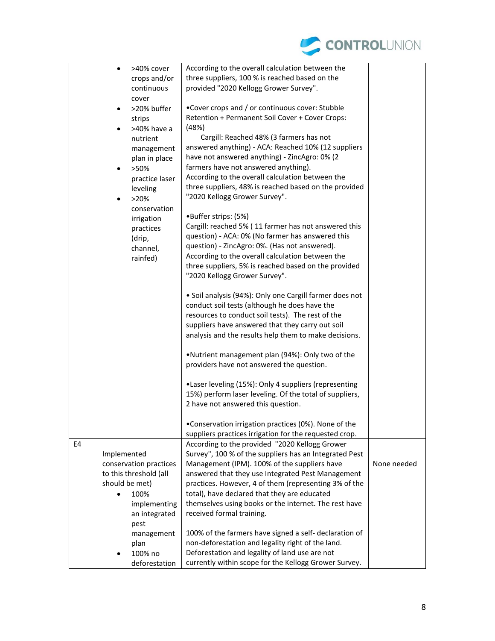

|    | >40% cover<br>$\bullet$   | According to the overall calculation between the                                                      |             |
|----|---------------------------|-------------------------------------------------------------------------------------------------------|-------------|
|    | crops and/or              | three suppliers, 100 % is reached based on the                                                        |             |
|    | continuous                | provided "2020 Kellogg Grower Survey".                                                                |             |
|    | cover                     |                                                                                                       |             |
|    | >20% buffer<br>$\bullet$  | . Cover crops and / or continuous cover: Stubble                                                      |             |
|    | strips                    | Retention + Permanent Soil Cover + Cover Crops:                                                       |             |
|    | >40% have a               | (48%)                                                                                                 |             |
|    | nutrient                  | Cargill: Reached 48% (3 farmers has not                                                               |             |
|    | management                | answered anything) - ACA: Reached 10% (12 suppliers                                                   |             |
|    | plan in place             | have not answered anything) - ZincAgro: 0% (2                                                         |             |
|    | >50%<br>$\bullet$         | farmers have not answered anything).                                                                  |             |
|    | practice laser            | According to the overall calculation between the                                                      |             |
|    | leveling                  | three suppliers, 48% is reached based on the provided                                                 |             |
|    | >20%                      | "2020 Kellogg Grower Survey".                                                                         |             |
|    | $\bullet$<br>conservation |                                                                                                       |             |
|    |                           | •Buffer strips: (5%)                                                                                  |             |
|    | irrigation<br>practices   | Cargill: reached 5% (11 farmer has not answered this                                                  |             |
|    | (drip,                    | question) - ACA: 0% (No farmer has answered this                                                      |             |
|    | channel,                  | question) - ZincAgro: 0%. (Has not answered).                                                         |             |
|    | rainfed)                  | According to the overall calculation between the                                                      |             |
|    |                           | three suppliers, 5% is reached based on the provided                                                  |             |
|    |                           | "2020 Kellogg Grower Survey".                                                                         |             |
|    |                           |                                                                                                       |             |
|    |                           | • Soil analysis (94%): Only one Cargill farmer does not                                               |             |
|    |                           | conduct soil tests (although he does have the                                                         |             |
|    |                           | resources to conduct soil tests). The rest of the                                                     |             |
|    |                           | suppliers have answered that they carry out soil                                                      |             |
|    |                           | analysis and the results help them to make decisions.                                                 |             |
|    |                           |                                                                                                       |             |
|    |                           | . Nutrient management plan (94%): Only two of the                                                     |             |
|    |                           | providers have not answered the question.                                                             |             |
|    |                           | .Laser leveling (15%): Only 4 suppliers (representing                                                 |             |
|    |                           | 15%) perform laser leveling. Of the total of suppliers,                                               |             |
|    |                           | 2 have not answered this question.                                                                    |             |
|    |                           |                                                                                                       |             |
|    |                           | . Conservation irrigation practices (0%). None of the                                                 |             |
|    |                           | suppliers practices irrigation for the requested crop.                                                |             |
| E4 |                           | According to the provided "2020 Kellogg Grower                                                        |             |
|    | Implemented               | Survey", 100 % of the suppliers has an Integrated Pest                                                |             |
|    | conservation practices    | Management (IPM). 100% of the suppliers have                                                          | None needed |
|    | to this threshold (all    | answered that they use Integrated Pest Management                                                     |             |
|    | should be met)            | practices. However, 4 of them (representing 3% of the                                                 |             |
|    | 100%<br>$\bullet$         | total), have declared that they are educated<br>themselves using books or the internet. The rest have |             |
|    | implementing              | received formal training.                                                                             |             |
|    | an integrated             |                                                                                                       |             |
|    | pest                      | 100% of the farmers have signed a self- declaration of                                                |             |
|    | management<br>plan        | non-deforestation and legality right of the land.                                                     |             |
|    | 100% no                   | Deforestation and legality of land use are not                                                        |             |
|    | deforestation             | currently within scope for the Kellogg Grower Survey.                                                 |             |
|    |                           |                                                                                                       |             |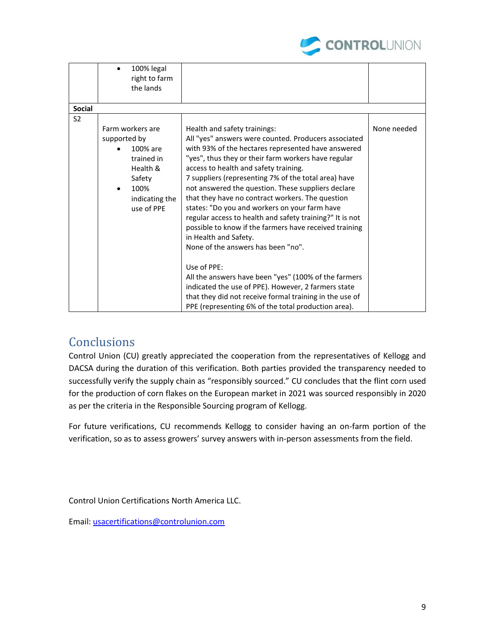

|                | $\bullet$         |                                                          |             |
|----------------|-------------------|----------------------------------------------------------|-------------|
|                | 100% legal        |                                                          |             |
|                | right to farm     |                                                          |             |
|                | the lands         |                                                          |             |
|                |                   |                                                          |             |
| <b>Social</b>  |                   |                                                          |             |
| S <sub>2</sub> |                   |                                                          |             |
|                | Farm workers are  | Health and safety trainings:                             | None needed |
|                | supported by      | All "yes" answers were counted. Producers associated     |             |
|                | 100% are          | with 93% of the hectares represented have answered       |             |
|                | trained in        | "yes", thus they or their farm workers have regular      |             |
|                | Health &          | access to health and safety training.                    |             |
|                | Safety            | 7 suppliers (representing 7% of the total area) have     |             |
|                | 100%<br>$\bullet$ | not answered the question. These suppliers declare       |             |
|                | indicating the    | that they have no contract workers. The question         |             |
|                | use of PPE        | states: "Do you and workers on your farm have            |             |
|                |                   | regular access to health and safety training?" It is not |             |
|                |                   |                                                          |             |
|                |                   | possible to know if the farmers have received training   |             |
|                |                   | in Health and Safety.                                    |             |
|                |                   | None of the answers has been "no".                       |             |
|                |                   |                                                          |             |
|                |                   | Use of PPE:                                              |             |
|                |                   | All the answers have been "yes" (100% of the farmers     |             |
|                |                   | indicated the use of PPE). However, 2 farmers state      |             |
|                |                   | that they did not receive formal training in the use of  |             |
|                |                   | PPE (representing 6% of the total production area).      |             |

## <span id="page-8-0"></span>**Conclusions**

Control Union (CU) greatly appreciated the cooperation from the representatives of Kellogg and DACSA during the duration of this verification. Both parties provided the transparency needed to successfully verify the supply chain as "responsibly sourced." CU concludes that the flint corn used for the production of corn flakes on the European market in 2021 was sourced responsibly in 2020 as per the criteria in the Responsible Sourcing program of Kellogg.

For future verifications, CU recommends Kellogg to consider having an on-farm portion of the verification, so as to assess growers' survey answers with in-person assessments from the field.

Control Union Certifications North America LLC.

Email: [usacertifications@controlunion.com](mailto:usacertifications@controlunion.com)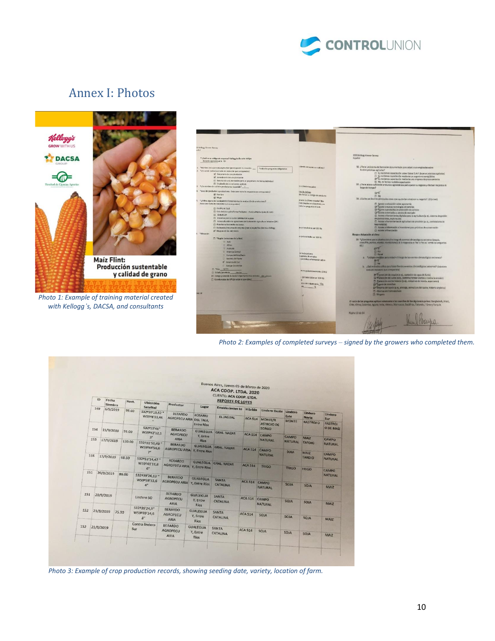

## <span id="page-9-0"></span>Annex I: Photos



*Photo 1: Example of training material created with Kellogg's, DACSA, and consultants*



*Photo 2: Examples of completed surveys – signed by the growers who completed them.*

|     |           |                     |        |                   |                                  |                                               |                                   |                             | Buenos Aires, Jueves 05 de Marzo de 2020<br>ACA COOP. LTDA. 2020<br>CLIENTE: ACA COOP. LTDA. |                                               |                               |                                |                              |                             |       |             |  |  |
|-----|-----------|---------------------|--------|-------------------|----------------------------------|-----------------------------------------------|-----------------------------------|-----------------------------|----------------------------------------------------------------------------------------------|-----------------------------------------------|-------------------------------|--------------------------------|------------------------------|-----------------------------|-------|-------------|--|--|
|     | ID        | Fecha               |        | Hect.             | Ubicación                        | Productor                                     |                                   |                             | <b>REPORTE DE LOTES</b>                                                                      |                                               |                               |                                |                              |                             |       |             |  |  |
|     | 149       | Siembra<br>6/9/2019 |        | 93.60             | <b>Satelital</b>                 |                                               | Lugar                             |                             | <b>Establecimien to</b>                                                                      | Híbrido                                       | <b>Lindero Oeste</b>          | Lindero                        |                              |                             |       |             |  |  |
|     |           |                     |        |                   | 532930'19,62 "<br>W59º8'33,44    | <b>BERARDO</b><br>AGROPECU ARIA DEL TALA,     | <b>ROSARIO</b>                    |                             | <b>EL JAGUAL</b>                                                                             | <b>ACA 514</b>                                | <b>MONTE/R</b>                | Este                           | Lindero<br><b>Norte</b>      | Lindero<br>Sur              |       |             |  |  |
|     |           |                     |        |                   | S32º53'46"                       |                                               | <b>Entre Ríos</b>                 |                             |                                                                                              |                                               | <b>ASTROJO DE</b>             | <b>MONTE</b>                   | <b>RASTROJ O</b>             | <b>RASTROJ</b><br>O DE MAÍZ |       |             |  |  |
| 154 |           | 15/9/2019           | 91.00  |                   | W59942'12,1                      | <b>BERARDO</b><br><b>AGROPECU</b>             | <b>GUALEGUA</b><br>Y, Entre       |                             | <b>GRAL NAZAR</b>                                                                            |                                               | <b>SORGO</b><br>ACA 514 CAMPO |                                |                              |                             |       |             |  |  |
|     | 153       | 17/9/2019           | 130.00 |                   | 3 <sup>n</sup><br>S32º51'50,49 " | <b>ARIA</b>                                   | Ríos                              |                             |                                                                                              |                                               | <b>NATURAL</b>                | <b>CAMPO</b><br><b>NATURAL</b> | <b>MAIZ</b><br><b>TARDIO</b> | CAMPO<br><b>NATURAL</b>     |       |             |  |  |
|     |           |                     |        |                   | W59º44'56,6<br>7 <sup>m</sup>    | <b>BERARDO</b><br>AGROPECU ARIA Y, Entre Ríos |                                   |                             | GUALEGUA GRAL, NAZAR                                                                         | ACA 514 CAMPO                                 |                               | <b>SOJA</b>                    |                              |                             |       |             |  |  |
| 155 |           | 17/9/2019           | 68.50  |                   | 532°53'14,47"                    | <b>BERARDO</b>                                |                                   |                             |                                                                                              |                                               | <b>NATURAL</b>                |                                | MAIZ<br><b>TARDIO</b>        | CAMPO<br><b>NATURAL</b>     |       |             |  |  |
|     |           |                     |        | W59941'11,8<br>6" | AGROPECU ARIA Y, Entre Rios      |                                               |                                   | GUALEGUA GRAL NAZAR         | <b>ACA 514</b>                                                                               | TRIGO                                         | TRIGO                         |                                |                              |                             |       |             |  |  |
| 151 |           | 20/9/2019           | 86.00  |                   | \$32939'26,13 "                  |                                               |                                   |                             |                                                                                              |                                               |                               |                                | <b>TRIGO</b>                 | CAMPO<br><b>NATURAL</b>     |       |             |  |  |
|     |           |                     |        |                   |                                  |                                               |                                   |                             | W59º38'33,6<br>4 <sup>n</sup>                                                                | <b>BERARDO</b><br>AGROPECU ARIA Y, Entre Ríos | <b>GUALEGUA</b>               |                                | <b>SANTA</b><br>CATALINA     | <b>ACA 514</b>              | CAMPO | <b>SOJA</b> |  |  |
|     |           |                     |        |                   |                                  |                                               |                                   |                             |                                                                                              |                                               | <b>NATURAL</b>                |                                | <b>SOJA</b>                  | <b>MAIZ</b>                 |       |             |  |  |
| 151 |           | 20/9/2019           |        |                   | Lindero SO                       | <b>BERARDO</b><br><b>AGROPECU</b>             | <b>GUALEGUA</b><br>Y, Entre       |                             | SANTA                                                                                        | ACA 514 CAMPO                                 |                               | <b>SOJA</b>                    |                              |                             |       |             |  |  |
|     |           |                     |        |                   |                                  |                                               | S32º39'24,9"                      | <b>ARIA</b>                 | Ríos                                                                                         |                                               | CATALINA                      |                                | <b>NATURAL</b>               |                             | SOJA  | <b>MAIZ</b> |  |  |
| 152 |           | 21/9/2019           |        | 75.30             |                                  | W59º39'34,6                                   | <b>BERARDO</b><br><b>AGROPECU</b> | <b>GUALEGUA</b><br>Y, Entre |                                                                                              | <b>SANTA</b><br>CATALINA                      | <b>ACA 514</b>                | SOJA                           | SOJA                         |                             |       |             |  |  |
|     |           |                     |        |                   | 8"<br>Contra lindero             | ARIA                                          | Ríos                              |                             |                                                                                              |                                               |                               |                                | <b>SOJA</b>                  | <b>MAIZ</b>                 |       |             |  |  |
| 152 | 21/9/2019 |                     |        | Sur               |                                  | <b>BERARDO</b><br><b>AGROPECU</b>             | <b>GUALEGUA</b><br>Y, Entre       | <b>SANTA</b>                | CATALINA                                                                                     | <b>ACA 514</b>                                | SOJA                          | SOJA                           |                              |                             |       |             |  |  |
|     |           |                     |        |                   |                                  | ARIA                                          | Ríos                              |                             |                                                                                              |                                               |                               |                                | SOJA                         | MAIZ                        |       |             |  |  |
|     |           |                     |        |                   |                                  |                                               |                                   |                             |                                                                                              |                                               |                               |                                |                              |                             |       |             |  |  |

*Photo 3: Example of crop production records, showing seeding date, variety, location of farm.*